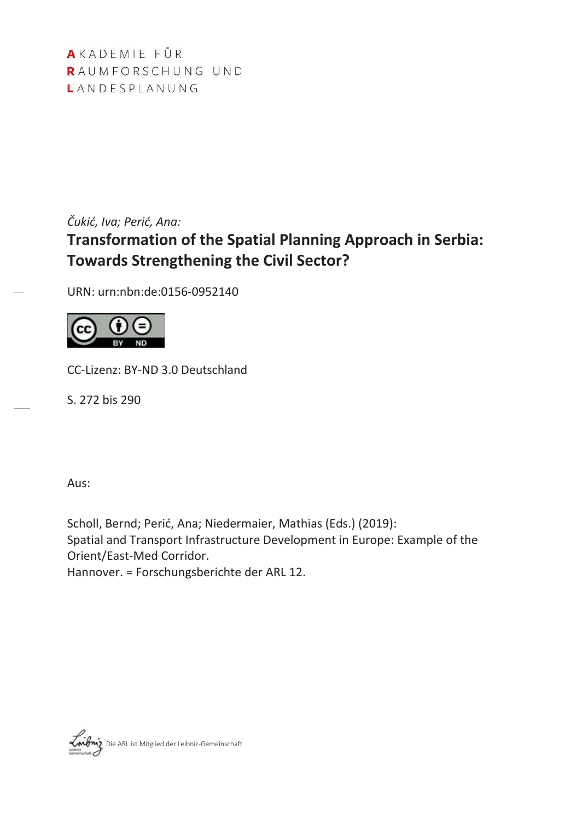AKADEMIE FÜR RAUMFORSCHUNG UND LANDESPLANUNG

*Čukić, Iva; Perić, Ana:* **Transformation of the Spatial Planning Approach in Serbia: Towards Strengthening the Civil Sector?** 

URN: urn:nbn:de:0156-0952140



CC-Lizenz: BY-ND 3.0 Deutschland

S. 272 bis 290

Aus:

Scholl, Bernd; Perić, Ana; Niedermaier, Mathias (Eds.) (2019): Spatial and Transport Infrastructure Development in Europe: Example of the Orient/East-Med Corridor.

Hannover. = Forschungsberichte der ARL 12.

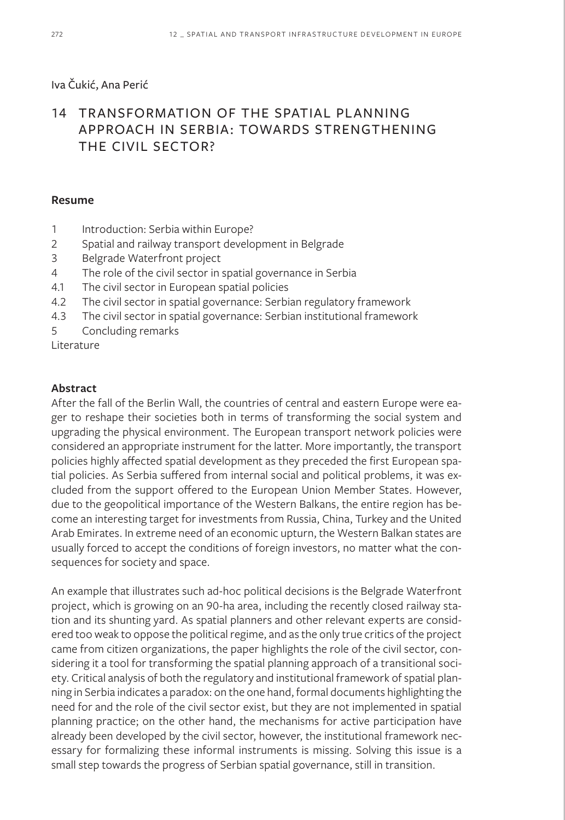## Iva Čukić, Ana Perić

# 14 TRANSFORMATION OF THE SPATIAL PLANNING APPROACH IN SERBIA: TOWARDS STRENGTHENING THE CIVIL SECTOR?

### **Resume**

- 1 Introduction: Serbia within Europe?
- 2 Spatial and railway transport development in Belgrade
- 3 Belgrade Waterfront project
- 4 The role of the civil sector in spatial governance in Serbia
- 4.1 The civil sector in European spatial policies
- 4.2 The civil sector in spatial governance: Serbian regulatory framework
- 4.3 The civil sector in spatial governance: Serbian institutional framework
- 5 Concluding remarks

Literature

### **Abstract**

After the fall of the Berlin Wall, the countries of central and eastern Europe were eager to reshape their societies both in terms of transforming the social system and upgrading the physical environment. The European transport network policies were considered an appropriate instrument for the latter. More importantly, the transport policies highly affected spatial development as they preceded the first European spatial policies. As Serbia suffered from internal social and political problems, it was excluded from the support offered to the European Union Member States. However, due to the geopolitical importance of the Western Balkans, the entire region has become an interesting target for investments from Russia, China, Turkey and the United Arab Emirates. In extreme need of an economic upturn, the Western Balkan states are usually forced to accept the conditions of foreign investors, no matter what the consequences for society and space.

An example that illustrates such ad-hoc political decisions is the Belgrade Waterfront project, which is growing on an 90-ha area, including the recently closed railway station and its shunting yard. As spatial planners and other relevant experts are considered too weak to oppose the political regime, and as the only true critics of the project came from citizen organizations, the paper highlights the role of the civil sector, considering it a tool for transforming the spatial planning approach of a transitional society. Critical analysis of both the regulatory and institutional framework of spatial planning in Serbia indicates a paradox: on the one hand, formal documents highlighting the need for and the role of the civil sector exist, but they are not implemented in spatial planning practice; on the other hand, the mechanisms for active participation have already been developed by the civil sector, however, the institutional framework necessary for formalizing these informal instruments is missing. Solving this issue is a small step towards the progress of Serbian spatial governance, still in transition.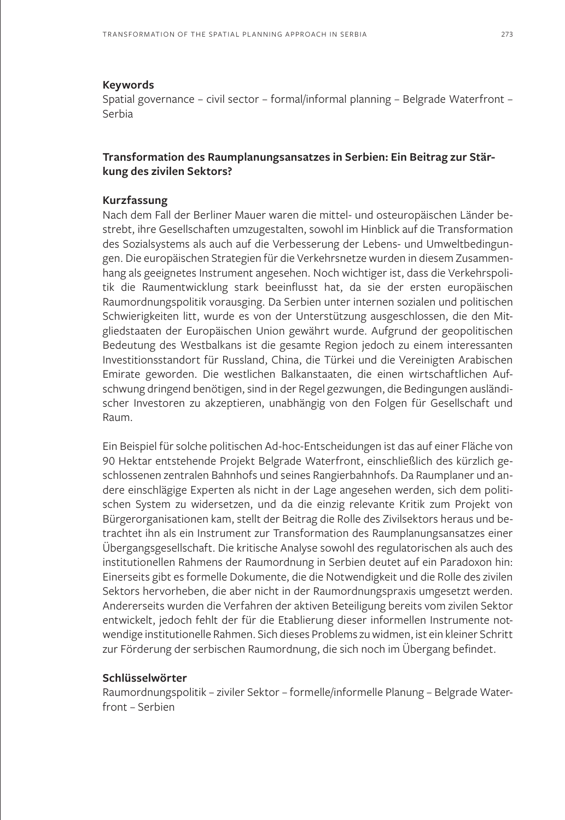#### **Keywords**

Spatial governance – civil sector – formal/informal planning – Belgrade Waterfront – Serbia

### **Transformation des Raumplanungsansatzes in Serbien: Ein Beitrag zur Stärkung des zivilen Sektors?**

### **Kurzfassung**

Nach dem Fall der Berliner Mauer waren die mittel- und osteuropäischen Länder bestrebt, ihre Gesellschaften umzugestalten, sowohl im Hinblick auf die Transformation des Sozialsystems als auch auf die Verbesserung der Lebens- und Umweltbedingungen. Die europäischen Strategien für die Verkehrsnetze wurden in diesem Zusammenhang als geeignetes Instrument angesehen. Noch wichtiger ist, dass die Verkehrspolitik die Raumentwicklung stark beeinflusst hat, da sie der ersten europäischen Raumordnungspolitik vorausging. Da Serbien unter internen sozialen und politischen Schwierigkeiten litt, wurde es von der Unterstützung ausgeschlossen, die den Mitgliedstaaten der Europäischen Union gewährt wurde. Aufgrund der geopolitischen Bedeutung des Westbalkans ist die gesamte Region jedoch zu einem interessanten Investitionsstandort für Russland, China, die Türkei und die Vereinigten Arabischen Emirate geworden. Die westlichen Balkanstaaten, die einen wirtschaftlichen Aufschwung dringend benötigen, sind in der Regel gezwungen, die Bedingungen ausländischer Investoren zu akzeptieren, unabhängig von den Folgen für Gesellschaft und Raum.

Ein Beispiel für solche politischen Ad-hoc-Entscheidungen ist das auf einer Fläche von 90 Hektar entstehende Projekt Belgrade Waterfront, einschließlich des kürzlich geschlossenen zentralen Bahnhofs und seines Rangierbahnhofs. Da Raumplaner und andere einschlägige Experten als nicht in der Lage angesehen werden, sich dem politischen System zu widersetzen, und da die einzig relevante Kritik zum Projekt von Bürgerorganisationen kam, stellt der Beitrag die Rolle des Zivilsektors heraus und betrachtet ihn als ein Instrument zur Transformation des Raumplanungsansatzes einer Übergangsgesellschaft. Die kritische Analyse sowohl des regulatorischen als auch des institutionellen Rahmens der Raumordnung in Serbien deutet auf ein Paradoxon hin: Einerseits gibt es formelle Dokumente, die die Notwendigkeit und die Rolle des zivilen Sektors hervorheben, die aber nicht in der Raumordnungspraxis umgesetzt werden. Andererseits wurden die Verfahren der aktiven Beteiligung bereits vom zivilen Sektor entwickelt, jedoch fehlt der für die Etablierung dieser informellen Instrumente notwendige institutionelle Rahmen. Sich dieses Problems zu widmen, ist ein kleiner Schritt zur Förderung der serbischen Raumordnung, die sich noch im Übergang befindet.

#### **Schlüsselwörter**

Raumordnungspolitik – ziviler Sektor – formelle/informelle Planung – Belgrade Waterfront – Serbien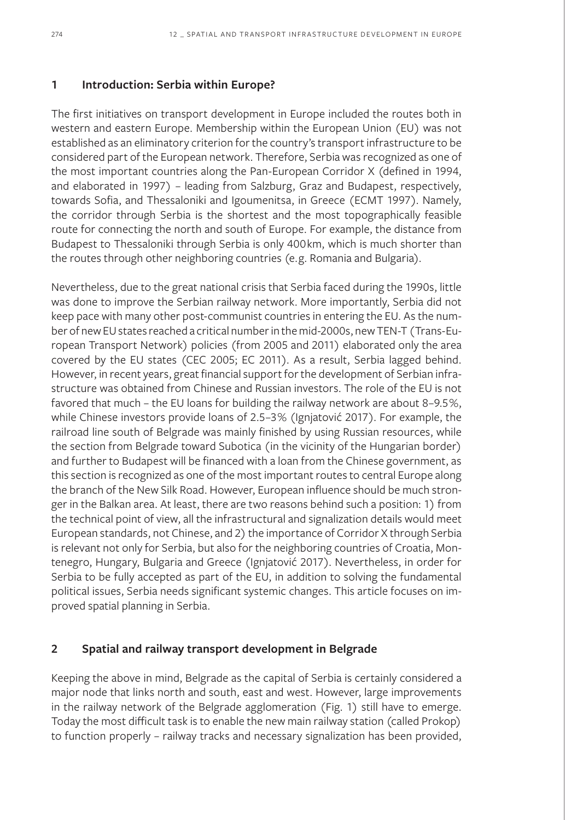### **1 Introduction: Serbia within Europe?**

The first initiatives on transport development in Europe included the routes both in western and eastern Europe. Membership within the European Union (EU) was not established as an eliminatory criterion for the country's transport infrastructure to be considered part of the European network. Therefore, Serbia was recognized as one of the most important countries along the Pan-European Corridor X (defined in 1994, and elaborated in 1997) – leading from Salzburg, Graz and Budapest, respectively, towards Sofia, and Thessaloniki and Igoumenitsa, in Greece (ECMT 1997). Namely, the corridor through Serbia is the shortest and the most topographically feasible route for connecting the north and south of Europe. For example, the distance from Budapest to Thessaloniki through Serbia is only 400km, which is much shorter than the routes through other neighboring countries (e.g. Romania and Bulgaria).

Nevertheless, due to the great national crisis that Serbia faced during the 1990s, little was done to improve the Serbian railway network. More importantly, Serbia did not keep pace with many other post-communist countries in entering the EU. As the number of new EU states reached a critical number in the mid-2000s, new TEN-T (Trans-European Transport Network) policies (from 2005 and 2011) elaborated only the area covered by the EU states (CEC 2005; EC 2011). As a result, Serbia lagged behind. However, in recent years, great financial support for the development of Serbian infrastructure was obtained from Chinese and Russian investors. The role of the EU is not favored that much – the EU loans for building the railway network are about 8–9.5%, while Chinese investors provide loans of 2.5–3% (Ignjatović 2017). For example, the railroad line south of Belgrade was mainly finished by using Russian resources, while the section from Belgrade toward Subotica (in the vicinity of the Hungarian border) and further to Budapest will be financed with a loan from the Chinese government, as this section is recognized as one of the most important routes to central Europe along the branch of the New Silk Road. However, European influence should be much stronger in the Balkan area. At least, there are two reasons behind such a position: 1) from the technical point of view, all the infrastructural and signalization details would meet European standards, not Chinese, and 2) the importance of Corridor X through Serbia is relevant not only for Serbia, but also for the neighboring countries of Croatia, Montenegro, Hungary, Bulgaria and Greece (Ignjatović 2017). Nevertheless, in order for Serbia to be fully accepted as part of the EU, in addition to solving the fundamental political issues, Serbia needs significant systemic changes. This article focuses on improved spatial planning in Serbia.

## **2 Spatial and railway transport development in Belgrade**

Keeping the above in mind, Belgrade as the capital of Serbia is certainly considered a major node that links north and south, east and west. However, large improvements in the railway network of the Belgrade agglomeration (Fig. 1) still have to emerge. Today the most difficult task is to enable the new main railway station (called Prokop) to function properly – railway tracks and necessary signalization has been provided,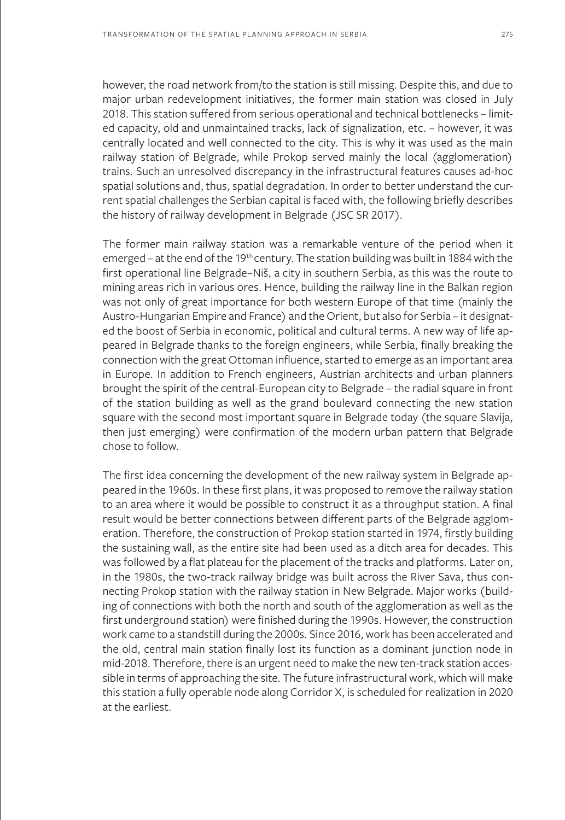however, the road network from/to the station is still missing. Despite this, and due to major urban redevelopment initiatives, the former main station was closed in July 2018. This station suffered from serious operational and technical bottlenecks – limited capacity, old and unmaintained tracks, lack of signalization, etc. – however, it was centrally located and well connected to the city. This is why it was used as the main railway station of Belgrade, while Prokop served mainly the local (agglomeration) trains. Such an unresolved discrepancy in the infrastructural features causes ad-hoc spatial solutions and, thus, spatial degradation. In order to better understand the current spatial challenges the Serbian capital is faced with, the following briefly describes the history of railway development in Belgrade (JSC SR 2017).

The former main railway station was a remarkable venture of the period when it emerged – at the end of the 19<sup>th</sup> century. The station building was built in 1884 with the first operational line Belgrade–Niš, a city in southern Serbia, as this was the route to mining areas rich in various ores. Hence, building the railway line in the Balkan region was not only of great importance for both western Europe of that time (mainly the Austro-Hungarian Empire and France) and the Orient, but also for Serbia – it designated the boost of Serbia in economic, political and cultural terms. A new way of life appeared in Belgrade thanks to the foreign engineers, while Serbia, finally breaking the connection with the great Ottoman influence, started to emerge as an important area in Europe. In addition to French engineers, Austrian architects and urban planners brought the spirit of the central-European city to Belgrade – the radial square in front of the station building as well as the grand boulevard connecting the new station square with the second most important square in Belgrade today (the square Slavija, then just emerging) were confirmation of the modern urban pattern that Belgrade chose to follow.

The first idea concerning the development of the new railway system in Belgrade appeared in the 1960s. In these first plans, it was proposed to remove the railway station to an area where it would be possible to construct it as a throughput station. A final result would be better connections between different parts of the Belgrade agglomeration. Therefore, the construction of Prokop station started in 1974, firstly building the sustaining wall, as the entire site had been used as a ditch area for decades. This was followed by a flat plateau for the placement of the tracks and platforms. Later on, in the 1980s, the two-track railway bridge was built across the River Sava, thus connecting Prokop station with the railway station in New Belgrade. Major works (building of connections with both the north and south of the agglomeration as well as the first underground station) were finished during the 1990s. However, the construction work came to a standstill during the 2000s. Since 2016, work has been accelerated and the old, central main station finally lost its function as a dominant junction node in mid-2018. Therefore, there is an urgent need to make the new ten-track station accessible in terms of approaching the site. The future infrastructural work, which will make this station a fully operable node along Corridor X, is scheduled for realization in 2020 at the earliest.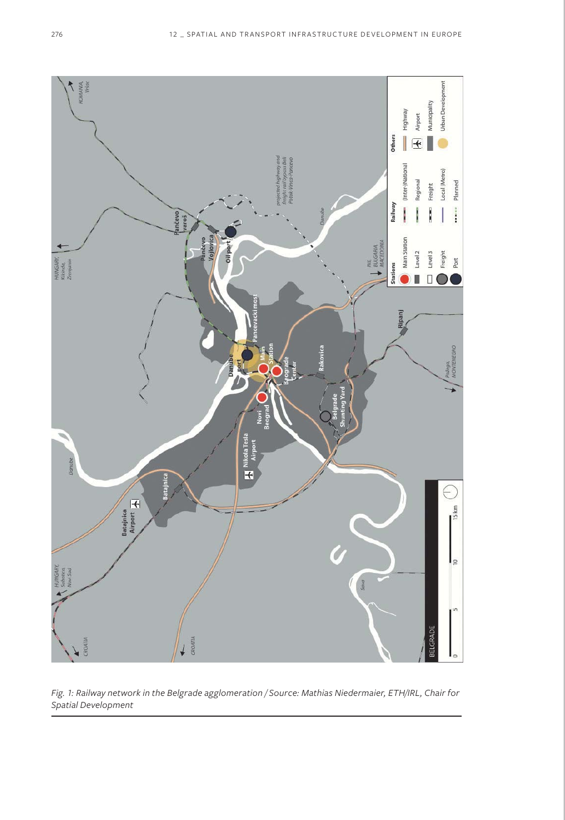

*Fig. 1: Railway network in the Belgrade agglomeration / Source: Mathias Niedermaier, ETH/IRL, Chair for Spatial Development*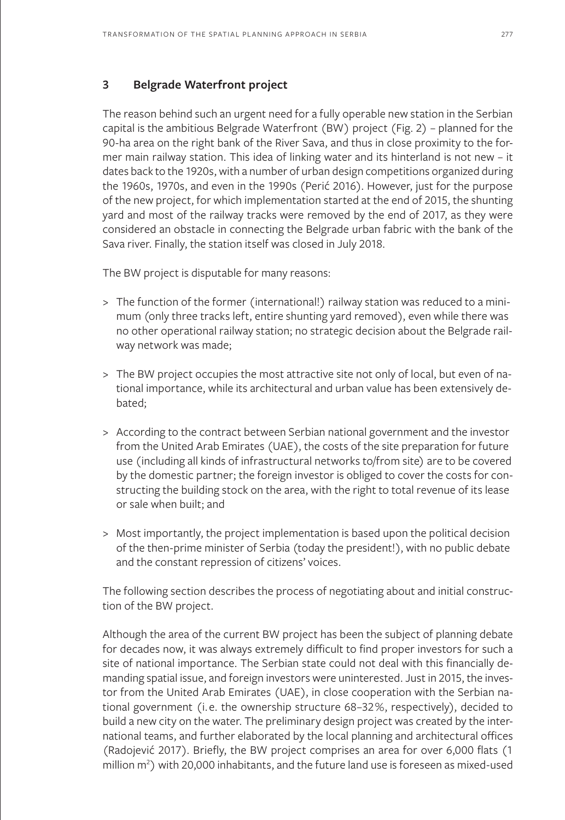## **3 Belgrade Waterfront project**

The reason behind such an urgent need for a fully operable new station in the Serbian capital is the ambitious Belgrade Waterfront (BW) project (Fig. 2) – planned for the 90-ha area on the right bank of the River Sava, and thus in close proximity to the former main railway station. This idea of linking water and its hinterland is not new – it dates back to the 1920s, with a number of urban design competitions organized during the 1960s, 1970s, and even in the 1990s (Perić 2016). However, just for the purpose of the new project, for which implementation started at the end of 2015, the shunting yard and most of the railway tracks were removed by the end of 2017, as they were considered an obstacle in connecting the Belgrade urban fabric with the bank of the Sava river. Finally, the station itself was closed in July 2018.

The BW project is disputable for many reasons:

- > The function of the former (international!) railway station was reduced to a minimum (only three tracks left, entire shunting yard removed), even while there was no other operational railway station; no strategic decision about the Belgrade railway network was made;
- > The BW project occupies the most attractive site not only of local, but even of national importance, while its architectural and urban value has been extensively debated;
- > According to the contract between Serbian national government and the investor from the United Arab Emirates (UAE), the costs of the site preparation for future use (including all kinds of infrastructural networks to/from site) are to be covered by the domestic partner; the foreign investor is obliged to cover the costs for constructing the building stock on the area, with the right to total revenue of its lease or sale when built; and
- > Most importantly, the project implementation is based upon the political decision of the then-prime minister of Serbia (today the president!), with no public debate and the constant repression of citizens' voices.

The following section describes the process of negotiating about and initial construction of the BW project.

Although the area of the current BW project has been the subject of planning debate for decades now, it was always extremely difficult to find proper investors for such a site of national importance. The Serbian state could not deal with this financially demanding spatial issue, and foreign investors were uninterested. Just in 2015, the investor from the United Arab Emirates (UAE), in close cooperation with the Serbian national government (i.e. the ownership structure 68–32%, respectively), decided to build a new city on the water. The preliminary design project was created by the international teams, and further elaborated by the local planning and architectural offices (Radojević 2017). Briefly, the BW project comprises an area for over 6,000 flats (1 million  $m^2$ ) with 20,000 inhabitants, and the future land use is foreseen as mixed-used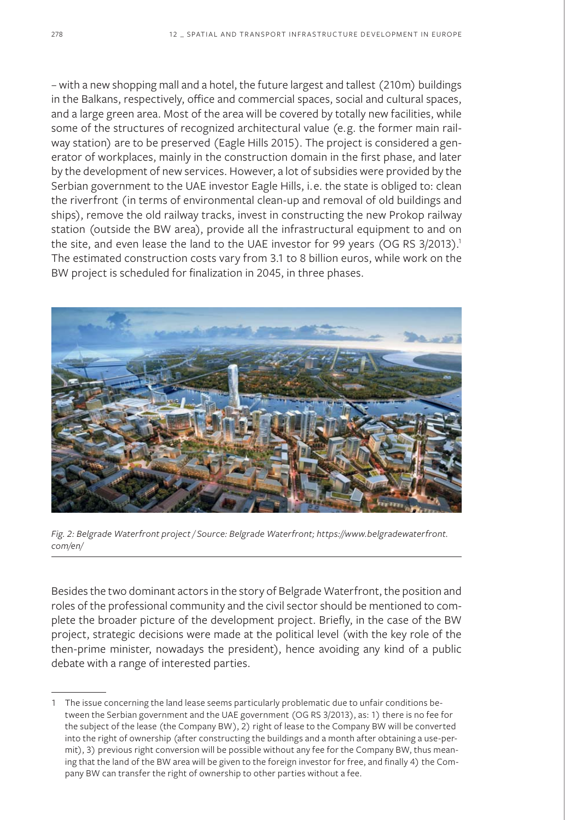– with a new shopping mall and a hotel, the future largest and tallest (210m) buildings in the Balkans, respectively, office and commercial spaces, social and cultural spaces, and a large green area. Most of the area will be covered by totally new facilities, while some of the structures of recognized architectural value (e.g. the former main railway station) are to be preserved (Eagle Hills 2015). The project is considered a generator of workplaces, mainly in the construction domain in the first phase, and later by the development of new services. However, a lot of subsidies were provided by the Serbian government to the UAE investor Eagle Hills, i.e. the state is obliged to: clean the riverfront (in terms of environmental clean-up and removal of old buildings and ships), remove the old railway tracks, invest in constructing the new Prokop railway station (outside the BW area), provide all the infrastructural equipment to and on the site, and even lease the land to the UAE investor for 99 years (OG RS 3/2013).<sup>1</sup> The estimated construction costs vary from 3.1 to 8 billion euros, while work on the BW project is scheduled for finalization in 2045, in three phases.



*Fig. 2: Belgrade Waterfront project / Source: Belgrade Waterfront; https://www.belgradewaterfront. com/en/*

Besides the two dominant actors in the story of Belgrade Waterfront, the position and roles of the professional community and the civil sector should be mentioned to complete the broader picture of the development project. Briefly, in the case of the BW project, strategic decisions were made at the political level (with the key role of the then-prime minister, nowadays the president), hence avoiding any kind of a public debate with a range of interested parties.

<sup>1</sup> The issue concerning the land lease seems particularly problematic due to unfair conditions between the Serbian government and the UAE government (OG RS 3/2013), as: 1) there is no fee for the subject of the lease (the Company BW), 2) right of lease to the Company BW will be converted into the right of ownership (after constructing the buildings and a month after obtaining a use-permit), 3) previous right conversion will be possible without any fee for the Company BW, thus meaning that the land of the BW area will be given to the foreign investor for free, and finally 4) the Company BW can transfer the right of ownership to other parties without a fee.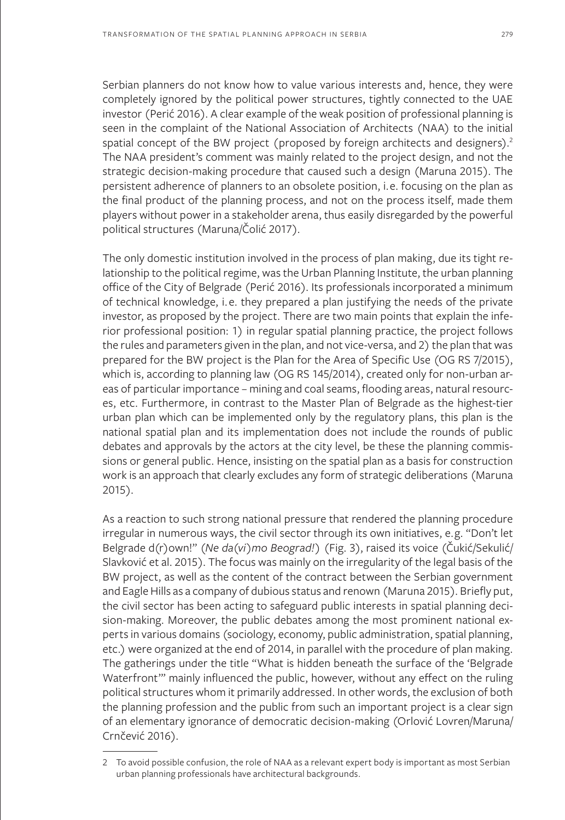Serbian planners do not know how to value various interests and, hence, they were completely ignored by the political power structures, tightly connected to the UAE investor (Perić 2016). A clear example of the weak position of professional planning is seen in the complaint of the National Association of Architects (NAA) to the initial spatial concept of the BW project (proposed by foreign architects and designers).<sup>2</sup> The NAA president's comment was mainly related to the project design, and not the strategic decision-making procedure that caused such a design (Maruna 2015). The persistent adherence of planners to an obsolete position, i.e. focusing on the plan as the final product of the planning process, and not on the process itself, made them players without power in a stakeholder arena, thus easily disregarded by the powerful political structures (Maruna/Čolić 2017).

The only domestic institution involved in the process of plan making, due its tight relationship to the political regime, was the Urban Planning Institute, the urban planning office of the City of Belgrade (Perić 2016). Its professionals incorporated a minimum of technical knowledge, i.e. they prepared a plan justifying the needs of the private investor, as proposed by the project. There are two main points that explain the inferior professional position: 1) in regular spatial planning practice, the project follows the rules and parameters given in the plan, and not vice-versa, and 2) the plan that was prepared for the BW project is the Plan for the Area of Specific Use (OG RS 7/2015), which is, according to planning law (OG RS 145/2014), created only for non-urban areas of particular importance – mining and coal seams, flooding areas, natural resources, etc. Furthermore, in contrast to the Master Plan of Belgrade as the highest-tier urban plan which can be implemented only by the regulatory plans, this plan is the national spatial plan and its implementation does not include the rounds of public debates and approvals by the actors at the city level, be these the planning commissions or general public. Hence, insisting on the spatial plan as a basis for construction work is an approach that clearly excludes any form of strategic deliberations (Maruna 2015).

As a reaction to such strong national pressure that rendered the planning procedure irregular in numerous ways, the civil sector through its own initiatives, e.g. "Don't let Belgrade d(r)own!" (*Ne da(vi)mo Beograd!*) (Fig. 3), raised its voice (Čukić/Sekulić/ Slavković et al. 2015). The focus was mainly on the irregularity of the legal basis of the BW project, as well as the content of the contract between the Serbian government and Eagle Hills as a company of dubious status and renown (Maruna 2015). Briefly put, the civil sector has been acting to safeguard public interests in spatial planning decision-making. Moreover, the public debates among the most prominent national experts in various domains (sociology, economy, public administration, spatial planning, etc.) were organized at the end of 2014, in parallel with the procedure of plan making. The gatherings under the title "What is hidden beneath the surface of the 'Belgrade Waterfront'" mainly influenced the public, however, without any effect on the ruling political structures whom it primarily addressed. In other words, the exclusion of both the planning profession and the public from such an important project is a clear sign of an elementary ignorance of democratic decision-making (Orlović Lovren/Maruna/ Crnčević 2016).

<sup>2</sup> To avoid possible confusion, the role of NAA as a relevant expert body is important as most Serbian urban planning professionals have architectural backgrounds.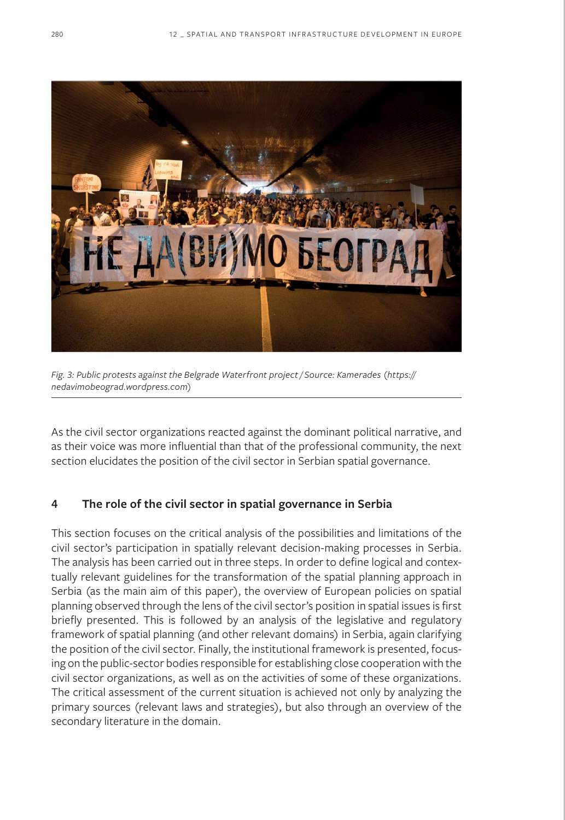

*Fig. 3: Public protests against the Belgrade Waterfront project / Source: Kamerades (https:// nedavimobeograd.wordpress.com)*

As the civil sector organizations reacted against the dominant political narrative, and as their voice was more influential than that of the professional community, the next section elucidates the position of the civil sector in Serbian spatial governance.

## **4 The role of the civil sector in spatial governance in Serbia**

This section focuses on the critical analysis of the possibilities and limitations of the civil sector's participation in spatially relevant decision-making processes in Serbia. The analysis has been carried out in three steps. In order to define logical and contextually relevant guidelines for the transformation of the spatial planning approach in Serbia (as the main aim of this paper), the overview of European policies on spatial planning observed through the lens of the civil sector's position in spatial issues is first briefly presented. This is followed by an analysis of the legislative and regulatory framework of spatial planning (and other relevant domains) in Serbia, again clarifying the position of the civil sector. Finally, the institutional framework is presented, focusing on the public-sector bodies responsible for establishing close cooperation with the civil sector organizations, as well as on the activities of some of these organizations. The critical assessment of the current situation is achieved not only by analyzing the primary sources (relevant laws and strategies), but also through an overview of the secondary literature in the domain.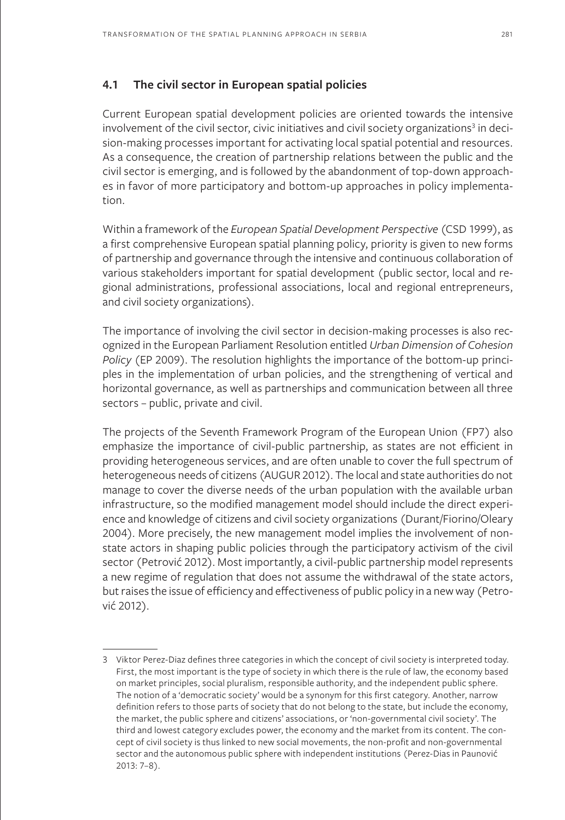## **4.1 The civil sector in European spatial policies**

Current European spatial development policies are oriented towards the intensive involvement of the civil sector, civic initiatives and civil society organizations<sup>3</sup> in decision-making processes important for activating local spatial potential and resources. As a consequence, the creation of partnership relations between the public and the civil sector is emerging, and is followed by the abandonment of top-down approaches in favor of more participatory and bottom-up approaches in policy implementation.

Within a framework of the *European Spatial Development Perspective* (CSD 1999), as a first comprehensive European spatial planning policy, priority is given to new forms of partnership and governance through the intensive and continuous collaboration of various stakeholders important for spatial development (public sector, local and regional administrations, professional associations, local and regional entrepreneurs, and civil society organizations).

The importance of involving the civil sector in decision-making processes is also recognized in the European Parliament Resolution entitled *Urban Dimension of Cohesion Policy* (EP 2009). The resolution highlights the importance of the bottom-up principles in the implementation of urban policies, and the strengthening of vertical and horizontal governance, as well as partnerships and communication between all three sectors – public, private and civil.

The projects of the Seventh Framework Program of the European Union (FP7) also emphasize the importance of civil-public partnership, as states are not efficient in providing heterogeneous services, and are often unable to cover the full spectrum of heterogeneous needs of citizens (AUGUR 2012). The local and state authorities do not manage to cover the diverse needs of the urban population with the available urban infrastructure, so the modified management model should include the direct experience and knowledge of citizens and civil society organizations (Durant/Fiorino/Oleary 2004). More precisely, the new management model implies the involvement of nonstate actors in shaping public policies through the participatory activism of the civil sector (Petrović 2012). Most importantly, a civil-public partnership model represents a new regime of regulation that does not assume the withdrawal of the state actors, but raises the issue of efficiency and effectiveness of public policy in a new way (Petrović 2012).

<sup>3</sup> Viktor Perez-Diaz defines three categories in which the concept of civil society is interpreted today. First, the most important is the type of society in which there is the rule of law, the economy based on market principles, social pluralism, responsible authority, and the independent public sphere. The notion of a 'democratic society' would be a synonym for this first category. Another, narrow definition refers to those parts of society that do not belong to the state, but include the economy, the market, the public sphere and citizens' associations, or 'non-governmental civil society'. The third and lowest category excludes power, the economy and the market from its content. The concept of civil society is thus linked to new social movements, the non-profit and non-governmental sector and the autonomous public sphere with independent institutions (Perez-Dias in Paunović 2013: 7–8).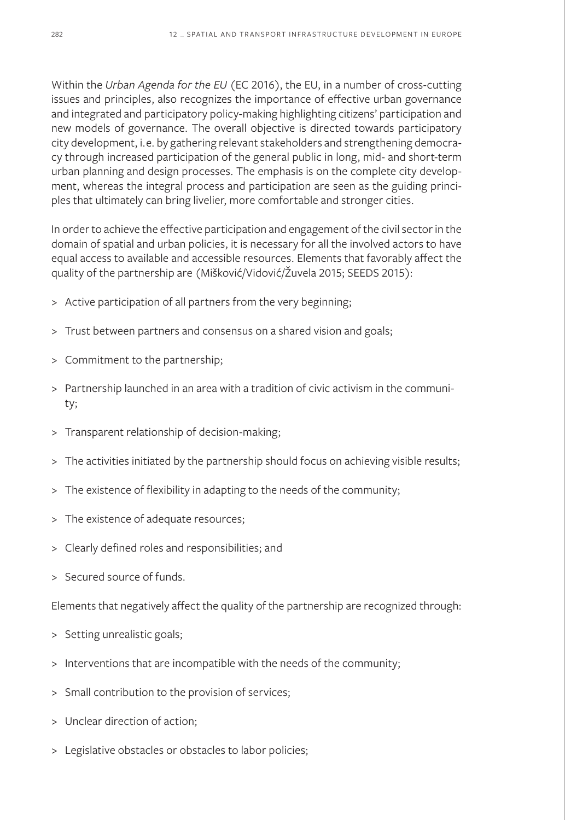Within the *Urban Agenda for the EU* (EC 2016), the EU, in a number of cross-cutting issues and principles, also recognizes the importance of effective urban governance and integrated and participatory policy-making highlighting citizens' participation and new models of governance. The overall objective is directed towards participatory city development, i.e. by gathering relevant stakeholders and strengthening democracy through increased participation of the general public in long, mid- and short-term urban planning and design processes. The emphasis is on the complete city development, whereas the integral process and participation are seen as the guiding principles that ultimately can bring livelier, more comfortable and stronger cities.

In order to achieve the effective participation and engagement of the civil sector in the domain of spatial and urban policies, it is necessary for all the involved actors to have equal access to available and accessible resources. Elements that favorably affect the quality of the partnership are (Mišković/Vidović/Žuvela 2015; SEEDS 2015):

- > Active participation of all partners from the very beginning;
- > Trust between partners and consensus on a shared vision and goals;
- > Commitment to the partnership;
- > Partnership launched in an area with a tradition of civic activism in the community;
- > Transparent relationship of decision-making;
- > The activities initiated by the partnership should focus on achieving visible results;
- > The existence of flexibility in adapting to the needs of the community;
- > The existence of adequate resources;
- > Clearly defined roles and responsibilities; and
- > Secured source of funds.

Elements that negatively affect the quality of the partnership are recognized through:

- > Setting unrealistic goals;
- > Interventions that are incompatible with the needs of the community;
- > Small contribution to the provision of services;
- > Unclear direction of action;
- > Legislative obstacles or obstacles to labor policies;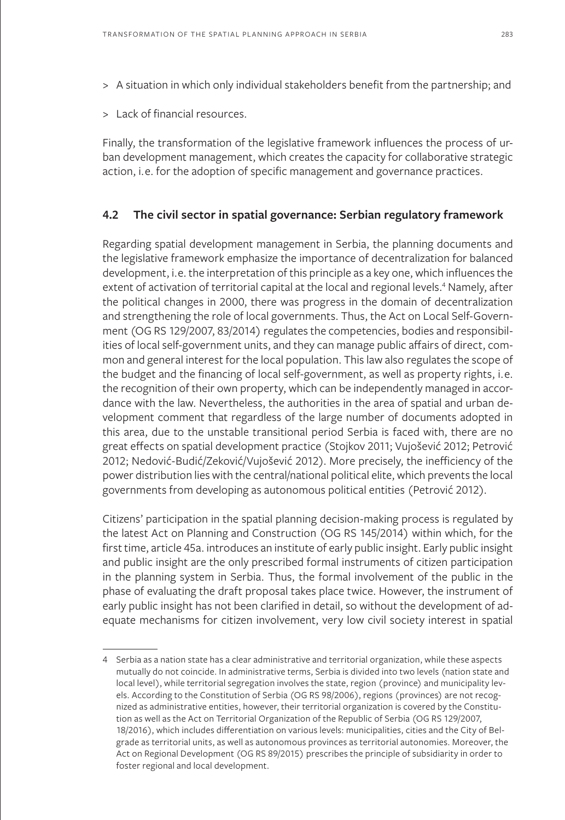- > A situation in which only individual stakeholders benefit from the partnership; and
- > Lack of financial resources.

Finally, the transformation of the legislative framework influences the process of urban development management, which creates the capacity for collaborative strategic action, i.e. for the adoption of specific management and governance practices.

### **4.2 The civil sector in spatial governance: Serbian regulatory framework**

Regarding spatial development management in Serbia, the planning documents and the legislative framework emphasize the importance of decentralization for balanced development, i.e. the interpretation of this principle as a key one, which influences the extent of activation of territorial capital at the local and regional levels.<sup>4</sup> Namely, after the political changes in 2000, there was progress in the domain of decentralization and strengthening the role of local governments. Thus, the Act on Local Self-Government (OG RS 129/2007, 83/2014) regulates the competencies, bodies and responsibilities of local self-government units, and they can manage public affairs of direct, common and general interest for the local population. This law also regulates the scope of the budget and the financing of local self-government, as well as property rights, i.e. the recognition of their own property, which can be independently managed in accordance with the law. Nevertheless, the authorities in the area of spatial and urban development comment that regardless of the large number of documents adopted in this area, due to the unstable transitional period Serbia is faced with, there are no great effects on spatial development practice (Stojkov 2011; Vujošević 2012; Petrović 2012; Nedović-Budić/Zeković/Vujošević 2012). More precisely, the inefficiency of the power distribution lies with the central/national political elite, which prevents the local governments from developing as autonomous political entities (Petrović 2012).

Citizens' participation in the spatial planning decision-making process is regulated by the latest Act on Planning and Construction (OG RS 145/2014) within which, for the first time, article 45a. introduces an institute of early public insight. Early public insight and public insight are the only prescribed formal instruments of citizen participation in the planning system in Serbia. Thus, the formal involvement of the public in the phase of evaluating the draft proposal takes place twice. However, the instrument of early public insight has not been clarified in detail, so without the development of adequate mechanisms for citizen involvement, very low civil society interest in spatial

<sup>4</sup> Serbia as a nation state has a clear administrative and territorial organization, while these aspects mutually do not coincide. In administrative terms, Serbia is divided into two levels (nation state and local level), while territorial segregation involves the state, region (province) and municipality levels. According to the Constitution of Serbia (OG RS 98/2006), regions (provinces) are not recognized as administrative entities, however, their territorial organization is covered by the Constitution as well as the Act on Territorial Organization of the Republic of Serbia (OG RS 129/2007, 18/2016), which includes differentiation on various levels: municipalities, cities and the City of Belgrade as territorial units, as well as autonomous provinces as territorial autonomies. Moreover, the Act on Regional Development (OG RS 89/2015) prescribes the principle of subsidiarity in order to foster regional and local development.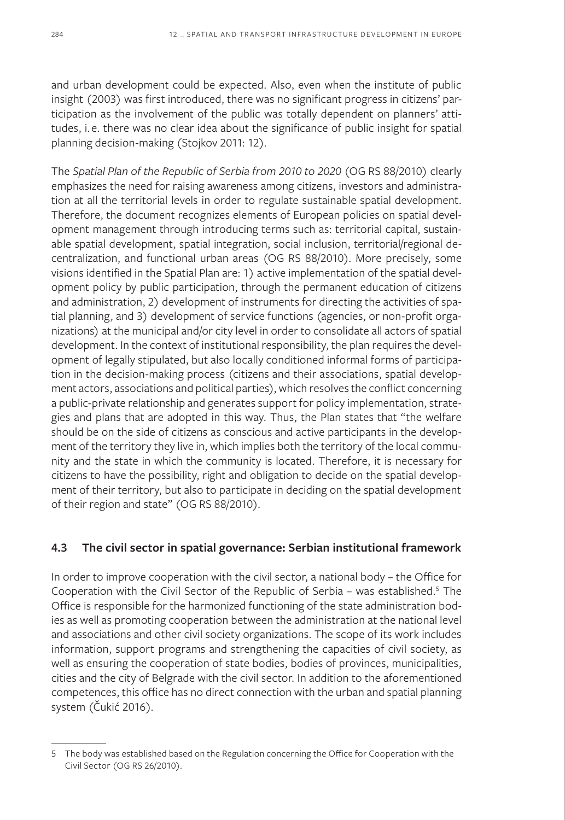and urban development could be expected. Also, even when the institute of public insight (2003) was first introduced, there was no significant progress in citizens' participation as the involvement of the public was totally dependent on planners' attitudes, i.e. there was no clear idea about the significance of public insight for spatial planning decision-making (Stojkov 2011: 12).

The *Spatial Plan of the Republic of Serbia from 2010 to 2020* (OG RS 88/2010) clearly emphasizes the need for raising awareness among citizens, investors and administration at all the territorial levels in order to regulate sustainable spatial development. Therefore, the document recognizes elements of European policies on spatial development management through introducing terms such as: territorial capital, sustainable spatial development, spatial integration, social inclusion, territorial/regional decentralization, and functional urban areas (OG RS 88/2010). More precisely, some visions identified in the Spatial Plan are: 1) active implementation of the spatial development policy by public participation, through the permanent education of citizens and administration, 2) development of instruments for directing the activities of spatial planning, and 3) development of service functions (agencies, or non-profit organizations) at the municipal and/or city level in order to consolidate all actors of spatial development. In the context of institutional responsibility, the plan requires the development of legally stipulated, but also locally conditioned informal forms of participation in the decision-making process (citizens and their associations, spatial development actors, associations and political parties), which resolves the conflict concerning a public-private relationship and generates support for policy implementation, strategies and plans that are adopted in this way. Thus, the Plan states that "the welfare should be on the side of citizens as conscious and active participants in the development of the territory they live in, which implies both the territory of the local community and the state in which the community is located. Therefore, it is necessary for citizens to have the possibility, right and obligation to decide on the spatial development of their territory, but also to participate in deciding on the spatial development of their region and state" (OG RS 88/2010).

## **4.3 The civil sector in spatial governance: Serbian institutional framework**

In order to improve cooperation with the civil sector, a national body – the Office for Cooperation with the Civil Sector of the Republic of Serbia - was established.<sup>5</sup> The Office is responsible for the harmonized functioning of the state administration bodies as well as promoting cooperation between the administration at the national level and associations and other civil society organizations. The scope of its work includes information, support programs and strengthening the capacities of civil society, as well as ensuring the cooperation of state bodies, bodies of provinces, municipalities, cities and the city of Belgrade with the civil sector. In addition to the aforementioned competences, this office has no direct connection with the urban and spatial planning system (Čukić 2016).

<sup>5</sup> The body was established based on the Regulation concerning the Office for Cooperation with the Civil Sector (OG RS 26/2010).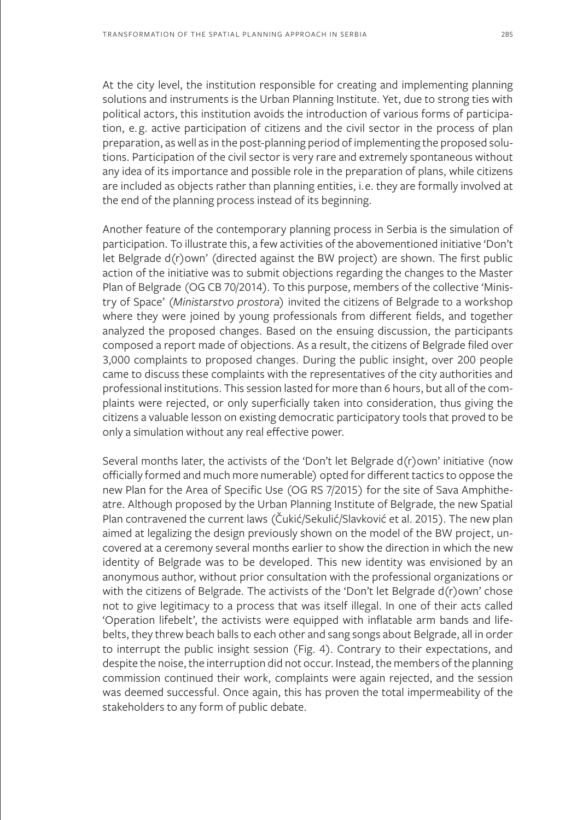At the city level, the institution responsible for creating and implementing planning solutions and instruments is the Urban Planning Institute. Yet, due to strong ties with political actors, this institution avoids the introduction of various forms of participation, e. g. active participation of citizens and the civil sector in the process of plan preparation, as well as in the post-planning period of implementing the proposed solutions. Participation of the civil sector is very rare and extremely spontaneous without any idea of its importance and possible role in the preparation of plans, while citizens are included as objects rather than planning entities, i.e. they are formally involved at the end of the planning process instead of its beginning.

Another feature of the contemporary planning process in Serbia is the simulation of participation. To illustrate this, a few activities of the abovementioned initiative 'Don't let Belgrade d(r)own' (directed against the BW project) are shown. The first public action of the initiative was to submit objections regarding the changes to the Master Plan of Belgrade (OG CB 70/2014). To this purpose, members of the collective 'Ministry of Space' (*Ministarstvo prostora*) invited the citizens of Belgrade to a workshop where they were joined by young professionals from different fields, and together analyzed the proposed changes. Based on the ensuing discussion, the participants composed a report made of objections. As a result, the citizens of Belgrade filed over 3,000 complaints to proposed changes. During the public insight, over 200 people came to discuss these complaints with the representatives of the city authorities and professional institutions. This session lasted for more than 6 hours, but all of the complaints were rejected, or only superficially taken into consideration, thus giving the citizens a valuable lesson on existing democratic participatory tools that proved to be only a simulation without any real effective power.

Several months later, the activists of the 'Don't let Belgrade d(r)own' initiative (now officially formed and much more numerable) opted for different tactics to oppose the new Plan for the Area of Specific Use (OG RS 7/2015) for the site of Sava Amphitheatre. Although proposed by the Urban Planning Institute of Belgrade, the new Spatial Plan contravened the current laws (Čukić/Sekulić/Slavković et al. 2015). The new plan aimed at legalizing the design previously shown on the model of the BW project, uncovered at a ceremony several months earlier to show the direction in which the new identity of Belgrade was to be developed. This new identity was envisioned by an anonymous author, without prior consultation with the professional organizations or with the citizens of Belgrade. The activists of the 'Don't let Belgrade d(r)own' chose not to give legitimacy to a process that was itself illegal. In one of their acts called 'Operation lifebelt', the activists were equipped with inflatable arm bands and lifebelts, they threw beach balls to each other and sang songs about Belgrade, all in order to interrupt the public insight session (Fig. 4). Contrary to their expectations, and despite the noise, the interruption did not occur. Instead, the members of the planning commission continued their work, complaints were again rejected, and the session was deemed successful. Once again, this has proven the total impermeability of the stakeholders to any form of public debate.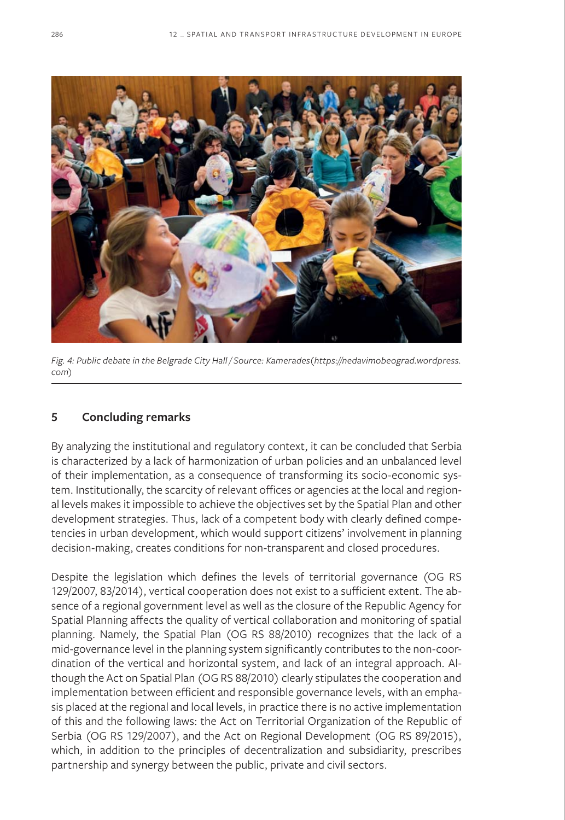

*Fig. 4: Public debate in the Belgrade City Hall / Source: Kamerades(https://nedavimobeograd.wordpress. com)*

## **5 Concluding remarks**

By analyzing the institutional and regulatory context, it can be concluded that Serbia is characterized by a lack of harmonization of urban policies and an unbalanced level of their implementation, as a consequence of transforming its socio-economic system. Institutionally, the scarcity of relevant offices or agencies at the local and regional levels makes it impossible to achieve the objectives set by the Spatial Plan and other development strategies. Thus, lack of a competent body with clearly defined competencies in urban development, which would support citizens' involvement in planning decision-making, creates conditions for non-transparent and closed procedures.

Despite the legislation which defines the levels of territorial governance (OG RS 129/2007, 83/2014), vertical cooperation does not exist to a sufficient extent. The absence of a regional government level as well as the closure of the Republic Agency for Spatial Planning affects the quality of vertical collaboration and monitoring of spatial planning. Namely, the Spatial Plan (OG RS 88/2010) recognizes that the lack of a mid-governance level in the planning system significantly contributes to the non-coordination of the vertical and horizontal system, and lack of an integral approach. Although the Act on Spatial Plan (OG RS 88/2010) clearly stipulates the cooperation and implementation between efficient and responsible governance levels, with an emphasis placed at the regional and local levels, in practice there is no active implementation of this and the following laws: the Act on Territorial Organization of the Republic of Serbia (OG RS 129/2007), and the Act on Regional Development (OG RS 89/2015), which, in addition to the principles of decentralization and subsidiarity, prescribes partnership and synergy between the public, private and civil sectors.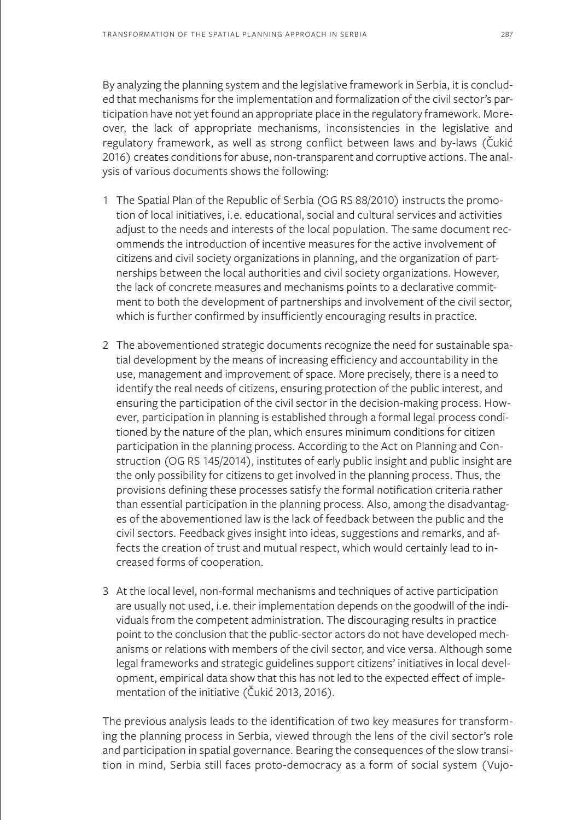By analyzing the planning system and the legislative framework in Serbia, it is concluded that mechanisms for the implementation and formalization of the civil sector's participation have not yet found an appropriate place in the regulatory framework. Moreover, the lack of appropriate mechanisms, inconsistencies in the legislative and regulatory framework, as well as strong conflict between laws and by-laws (Čukić 2016) creates conditions for abuse, non-transparent and corruptive actions. The analysis of various documents shows the following:

- 1 The Spatial Plan of the Republic of Serbia (OG RS 88/2010) instructs the promotion of local initiatives, i.e. educational, social and cultural services and activities adjust to the needs and interests of the local population. The same document recommends the introduction of incentive measures for the active involvement of citizens and civil society organizations in planning, and the organization of partnerships between the local authorities and civil society organizations. However, the lack of concrete measures and mechanisms points to a declarative commitment to both the development of partnerships and involvement of the civil sector, which is further confirmed by insufficiently encouraging results in practice.
- 2 The abovementioned strategic documents recognize the need for sustainable spatial development by the means of increasing efficiency and accountability in the use, management and improvement of space. More precisely, there is a need to identify the real needs of citizens, ensuring protection of the public interest, and ensuring the participation of the civil sector in the decision-making process. However, participation in planning is established through a formal legal process conditioned by the nature of the plan, which ensures minimum conditions for citizen participation in the planning process. According to the Act on Planning and Construction (OG RS 145/2014), institutes of early public insight and public insight are the only possibility for citizens to get involved in the planning process. Thus, the provisions defining these processes satisfy the formal notification criteria rather than essential participation in the planning process. Also, among the disadvantages of the abovementioned law is the lack of feedback between the public and the civil sectors. Feedback gives insight into ideas, suggestions and remarks, and affects the creation of trust and mutual respect, which would certainly lead to increased forms of cooperation.
- 3 At the local level, non-formal mechanisms and techniques of active participation are usually not used, i.e. their implementation depends on the goodwill of the individuals from the competent administration. The discouraging results in practice point to the conclusion that the public-sector actors do not have developed mechanisms or relations with members of the civil sector, and vice versa. Although some legal frameworks and strategic guidelines support citizens' initiatives in local development, empirical data show that this has not led to the expected effect of implementation of the initiative (Čukić 2013, 2016).

The previous analysis leads to the identification of two key measures for transforming the planning process in Serbia, viewed through the lens of the civil sector's role and participation in spatial governance. Bearing the consequences of the slow transition in mind, Serbia still faces proto-democracy as a form of social system (Vujo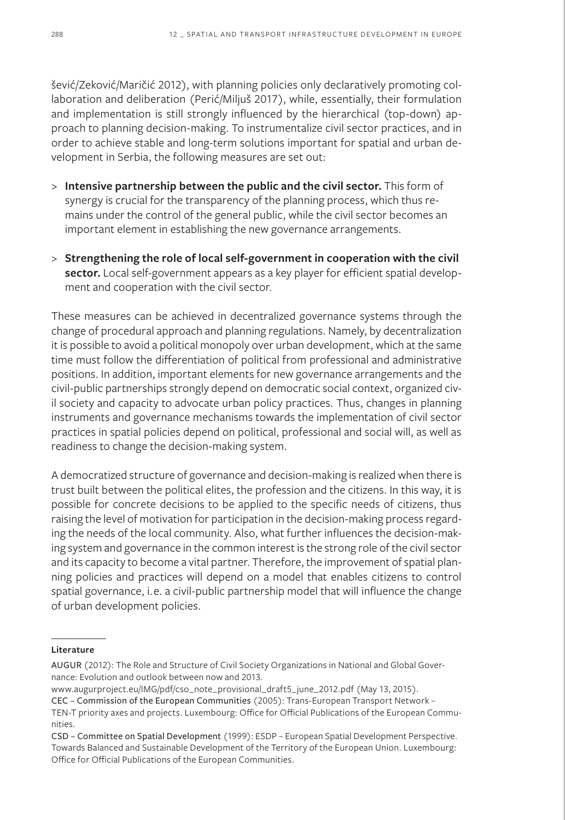šević/Zeković/Maričić 2012), with planning policies only declaratively promoting collaboration and deliberation (Perić/Miljuš 2017), while, essentially, their formulation and implementation is still strongly influenced by the hierarchical (top-down) approach to planning decision-making. To instrumentalize civil sector practices, and in order to achieve stable and long-term solutions important for spatial and urban development in Serbia, the following measures are set out:

- > **Intensive partnership between the public and the civil sector.** This form of synergy is crucial for the transparency of the planning process, which thus remains under the control of the general public, while the civil sector becomes an important element in establishing the new governance arrangements.
- > **Strengthening the role of local self-government in cooperation with the civil sector.** Local self-government appears as a key player for efficient spatial development and cooperation with the civil sector.

These measures can be achieved in decentralized governance systems through the change of procedural approach and planning regulations. Namely, by decentralization it is possible to avoid a political monopoly over urban development, which at the same time must follow the differentiation of political from professional and administrative positions. In addition, important elements for new governance arrangements and the civil-public partnerships strongly depend on democratic social context, organized civil society and capacity to advocate urban policy practices. Thus, changes in planning instruments and governance mechanisms towards the implementation of civil sector practices in spatial policies depend on political, professional and social will, as well as readiness to change the decision-making system.

A democratized structure of governance and decision-making is realized when there is trust built between the political elites, the profession and the citizens. In this way, it is possible for concrete decisions to be applied to the specific needs of citizens, thus raising the level of motivation for participation in the decision-making process regarding the needs of the local community. Also, what further influences the decision-making system and governance in the common interest is the strong role of the civil sector and its capacity to become a vital partner. Therefore, the improvement of spatial planning policies and practices will depend on a model that enables citizens to control spatial governance, i.e. a civil-public partnership model that will influence the change of urban development policies.

#### **Literature**

AUGUR (2012): The Role and Structure of Civil Society Organizations in National and Global Governance: Evolution and outlook between now and 2013.

www.augurproject.eu/IMG/pdf/cso\_note\_provisional\_draft5\_june\_2012.pdf (May 13, 2015).

CEC – Commission of the European Communities (2005): Trans-European Transport Network –

TEN-T priority axes and projects. Luxembourg: Office for Official Publications of the European Communities.

CSD – Committee on Spatial Development (1999): ESDP – European Spatial Development Perspective. Towards Balanced and Sustainable Development of the Territory of the European Union. Luxembourg: Office for Official Publications of the European Communities.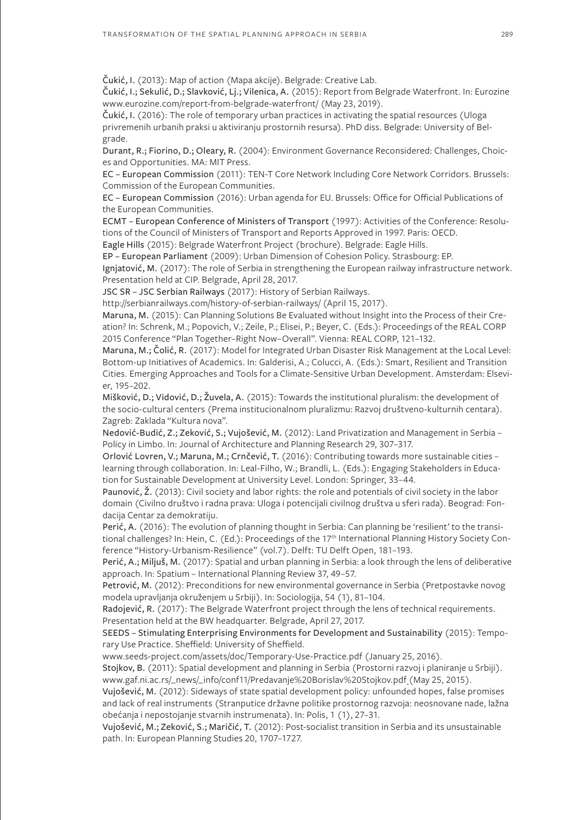Čukić, I. (2013): Map of action (Mapa akcije). Belgrade: Creative Lab.

Čukić, I.; Sekulić, D.; Slavković, Lj.; Vilenica, A. (2015): Report from Belgrade Waterfront. In: Eurozine www.eurozine.com/report-from-belgrade-waterfront/ (May 23, 2019).

Čukić, I. (2016): The role of temporary urban practices in activating the spatial resources (Uloga privremenih urbanih praksi u aktiviranju prostornih resursa). PhD diss. Belgrade: University of Belgrade.

Durant, R.; Fiorino, D.; Oleary, R. (2004): Environment Governance Reconsidered: Challenges, Choices and Opportunities. MA: MIT Press.

EC – European Commission (2011): TEN-T Core Network Including Core Network Corridors. Brussels: Commission of the European Communities.

EC – European Commission (2016): Urban agenda for EU. Brussels: Office for Official Publications of the European Communities.

ECMT – European Conference of Ministers of Transport (1997): Activities of the Conference: Resolutions of the Council of Ministers of Transport and Reports Approved in 1997. Paris: OECD.

Eagle Hills (2015): Belgrade Waterfront Project (brochure). Belgrade: Eagle Hills.

EP – European Parliament (2009): Urban Dimension of Cohesion Policy. Strasbourg: EP.

Ignjatović, M. (2017): The role of Serbia in strengthening the European railway infrastructure network. Presentation held at CIP. Belgrade, April 28, 2017.

JSC SR – JSC Serbian Railways (2017): History of Serbian Railways.

http://serbianrailways.com/history-of-serbian-railways/ (April 15, 2017).

Maruna, M. (2015): Can Planning Solutions Be Evaluated without Insight into the Process of their Creation? In: Schrenk, M.; Popovich, V.; Zeile, P.; Elisei, P.; Beyer, C. (Eds.): Proceedings of the REAL CORP 2015 Conference "Plan Together–Right Now–Overall". Vienna: REAL CORP, 121–132.

Maruna, M.; Čolić, R. (2017): Model for Integrated Urban Disaster Risk Management at the Local Level: Bottom-up Initiatives of Academics. In: Galderisi, A.; Colucci, A. (Eds.): Smart, Resilient and Transition Cities. Emerging Approaches and Tools for a Climate-Sensitive Urban Development. Amsterdam: Elsevier, 195–202.

Mišković, D.; Vidović, D.; Žuvela, A. (2015): Towards the institutional pluralism: the development of the socio-cultural centers (Prema institucionalnom pluralizmu: Razvoj društveno-kulturnih centara). Zagreb: Zaklada "Kultura nova".

Nedović-Budić, Z.; Zeković, S.; Vujošević, M. (2012): Land Privatization and Management in Serbia – Policy in Limbo. In: Journal of Architecture and Planning Research 29, 307–317.

Orlović Lovren, V.; Maruna, M.; Crnčević, T. (2016): Contributing towards more sustainable cities – learning through collaboration. In: Leal-Filho, W.; Brandli, L. (Eds.): Engaging Stakeholders in Education for Sustainable Development at University Level. London: Springer, 33–44.

Paunović, Ž. (2013): Civil society and labor rights: the role and potentials of civil society in the labor domain (Civilno društvo i radna prava: Uloga i potencijali civilnog društva u sferi rada). Beograd: Fondacija Centar za demokratiju.

Perić, A. (2016): The evolution of planning thought in Serbia: Can planning be 'resilient' to the transitional challenges? In: Hein, C. (Ed.): Proceedings of the 17<sup>th</sup> International Planning History Society Conference "History-Urbanism-Resilience" (vol.7). Delft: TU Delft Open, 181–193.

Perić, A.; Miljuš, M. (2017): Spatial and urban planning in Serbia: a look through the lens of deliberative approach. In: Spatium – International Planning Review 37, 49–57.

Petrović, M. (2012): Preconditions for new environmental governance in Serbia (Pretpostavke novog modela upravljanja okruženjem u Srbiji). In: Sociologija, 54 (1), 81–104.

Radojević, R. (2017): The Belgrade Waterfront project through the lens of technical requirements. Presentation held at the BW headquarter. Belgrade, April 27, 2017.

SEEDS – Stimulating Enterprising Environments for Development and Sustainability (2015): Temporary Use Practice. Sheffield: University of Sheffield.

www.seeds-project.com/assets/doc/Temporary-Use-Practice.pdf (January 25, 2016).

Stojkov, B. (2011): Spatial development and planning in Serbia (Prostorni razvoj i planiranje u Srbiji). www.gaf.ni.ac.rs/\_news/\_info/conf11/Predavanje%20Borislav%20Stojkov.pdf (May 25, 2015).

Vujošević, M. (2012): Sideways of state spatial development policy: unfounded hopes, false promises and lack of real instruments (Stranputice državne politike prostornog razvoja: neosnovane nade, lažna obećanja i nepostojanje stvarnih instrumenata). In: Polis, 1 (1), 27–31.

Vujošević, M.; Zeković, S.; Maričić, T. (2012): Post-socialist transition in Serbia and its unsustainable path. In: European Planning Studies 20, 1707–1727.